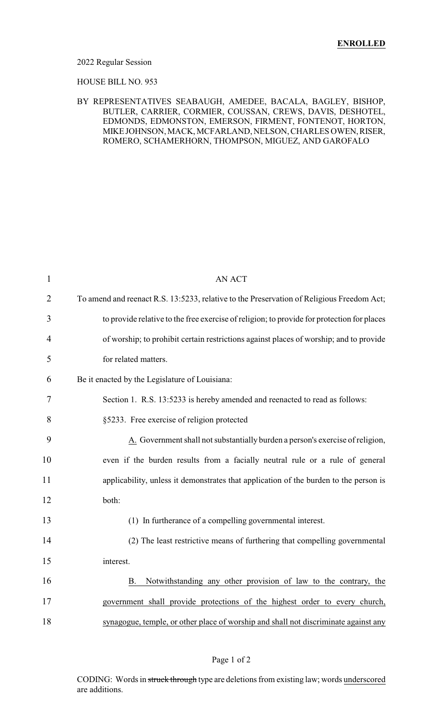#### 2022 Regular Session

#### HOUSE BILL NO. 953

### BY REPRESENTATIVES SEABAUGH, AMEDEE, BACALA, BAGLEY, BISHOP, BUTLER, CARRIER, CORMIER, COUSSAN, CREWS, DAVIS, DESHOTEL, EDMONDS, EDMONSTON, EMERSON, FIRMENT, FONTENOT, HORTON, MIKE JOHNSON, MACK, MCFARLAND, NELSON, CHARLES OWEN, RISER, ROMERO, SCHAMERHORN, THOMPSON, MIGUEZ, AND GAROFALO

| $\mathbf{1}$   | <b>AN ACT</b>                                                                              |
|----------------|--------------------------------------------------------------------------------------------|
| $\overline{2}$ | To amend and reenact R.S. 13:5233, relative to the Preservation of Religious Freedom Act;  |
| 3              | to provide relative to the free exercise of religion; to provide for protection for places |
| 4              | of worship; to prohibit certain restrictions against places of worship; and to provide     |
| 5              | for related matters.                                                                       |
| 6              | Be it enacted by the Legislature of Louisiana:                                             |
| 7              | Section 1. R.S. 13:5233 is hereby amended and reenacted to read as follows:                |
| 8              | §5233. Free exercise of religion protected                                                 |
| 9              | A. Government shall not substantially burden a person's exercise of religion,              |
| 10             | even if the burden results from a facially neutral rule or a rule of general               |
| 11             | applicability, unless it demonstrates that application of the burden to the person is      |
| 12             | both:                                                                                      |
| 13             | (1) In furtherance of a compelling governmental interest.                                  |
| 14             | (2) The least restrictive means of furthering that compelling governmental                 |
| 15             | interest.                                                                                  |
| 16             | Notwithstanding any other provision of law to the contrary, the<br><b>B.</b>               |
| 17             | government shall provide protections of the highest order to every church,                 |
| 18             | synagogue, temple, or other place of worship and shall not discriminate against any        |

### Page 1 of 2

CODING: Words in struck through type are deletions from existing law; words underscored are additions.